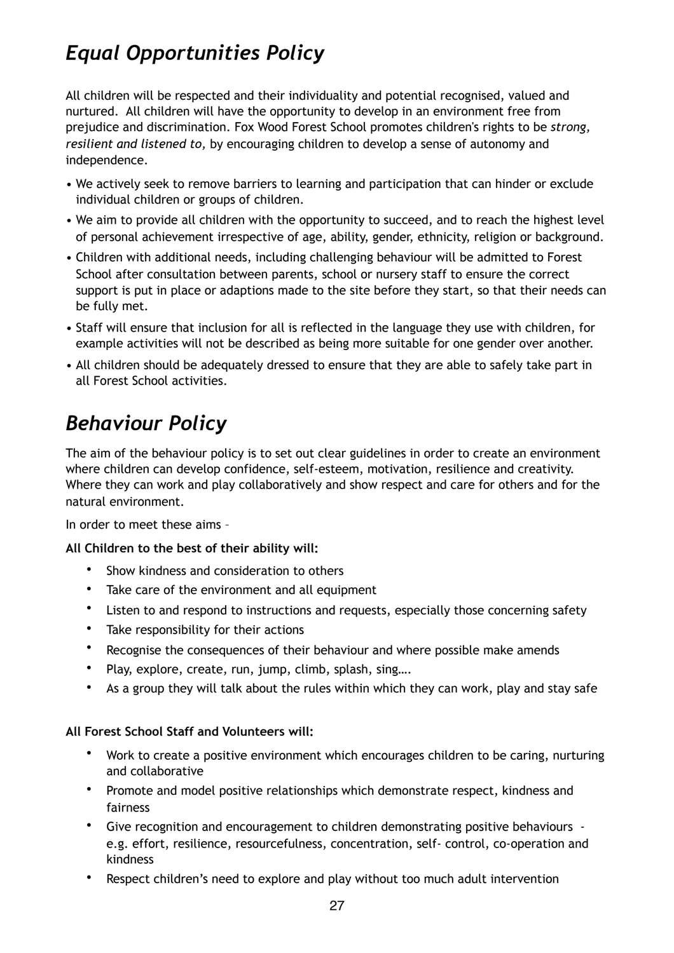## *Equal Opportunities Policy*

All children will be respected and their individuality and potential recognised, valued and nurtured. All children will have the opportunity to develop in an environment free from prejudice and discrimination. Fox Wood Forest School promotes children's rights to be *strong, resilient and listened to,* by encouraging children to develop a sense of autonomy and independence.

- We actively seek to remove barriers to learning and participation that can hinder or exclude individual children or groups of children.
- We aim to provide all children with the opportunity to succeed, and to reach the highest level of personal achievement irrespective of age, ability, gender, ethnicity, religion or background.
- Children with additional needs, including challenging behaviour will be admitted to Forest School after consultation between parents, school or nursery staff to ensure the correct support is put in place or adaptions made to the site before they start, so that their needs can be fully met.
- Staff will ensure that inclusion for all is reflected in the language they use with children, for example activities will not be described as being more suitable for one gender over another.
- All children should be adequately dressed to ensure that they are able to safely take part in all Forest School activities.

# *Behaviour Policy*

The aim of the behaviour policy is to set out clear guidelines in order to create an environment where children can develop confidence, self-esteem, motivation, resilience and creativity. Where they can work and play collaboratively and show respect and care for others and for the natural environment.

In order to meet these aims –

#### **All Children to the best of their ability will:**

- Show kindness and consideration to others
- Take care of the environment and all equipment
- Listen to and respond to instructions and requests, especially those concerning safety
- Take responsibility for their actions
- Recognise the consequences of their behaviour and where possible make amends
- Play, explore, create, run, jump, climb, splash, sing….
- As a group they will talk about the rules within which they can work, play and stay safe

#### **All Forest School Staff and Volunteers will:**

- Work to create a positive environment which encourages children to be caring, nurturing and collaborative
- Promote and model positive relationships which demonstrate respect, kindness and fairness
- Give recognition and encouragement to children demonstrating positive behaviours e.g. effort, resilience, resourcefulness, concentration, self- control, co-operation and kindness
- Respect children's need to explore and play without too much adult intervention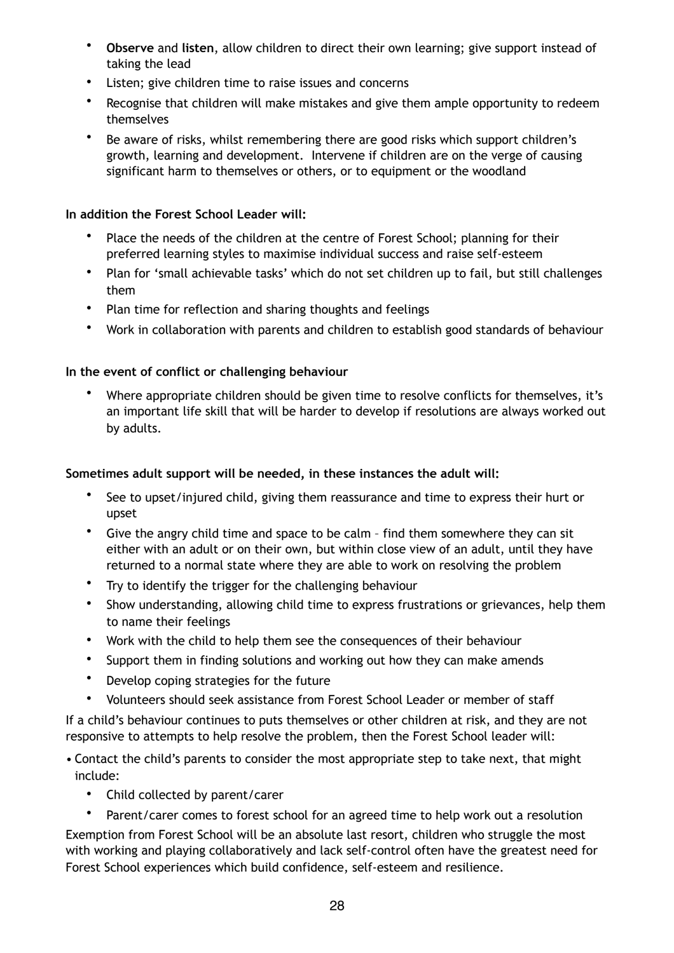- **Observe** and **listen**, allow children to direct their own learning; give support instead of taking the lead
- Listen; give children time to raise issues and concerns
- Recognise that children will make mistakes and give them ample opportunity to redeem themselves
- Be aware of risks, whilst remembering there are good risks which support children's growth, learning and development. Intervene if children are on the verge of causing significant harm to themselves or others, or to equipment or the woodland

#### **In addition the Forest School Leader will:**

- Place the needs of the children at the centre of Forest School; planning for their preferred learning styles to maximise individual success and raise self-esteem
- Plan for 'small achievable tasks' which do not set children up to fail, but still challenges them
- Plan time for reflection and sharing thoughts and feelings
- Work in collaboration with parents and children to establish good standards of behaviour

#### **In the event of conflict or challenging behaviour**

• Where appropriate children should be given time to resolve conflicts for themselves, it's an important life skill that will be harder to develop if resolutions are always worked out by adults.

#### **Sometimes adult support will be needed, in these instances the adult will:**

- See to upset/injured child, giving them reassurance and time to express their hurt or upset
- Give the angry child time and space to be calm find them somewhere they can sit either with an adult or on their own, but within close view of an adult, until they have returned to a normal state where they are able to work on resolving the problem
- Try to identify the trigger for the challenging behaviour
- Show understanding, allowing child time to express frustrations or grievances, help them to name their feelings
- Work with the child to help them see the consequences of their behaviour
- Support them in finding solutions and working out how they can make amends
- Develop coping strategies for the future
- Volunteers should seek assistance from Forest School Leader or member of staff

If a child's behaviour continues to puts themselves or other children at risk, and they are not responsive to attempts to help resolve the problem, then the Forest School leader will:

- Contact the child's parents to consider the most appropriate step to take next, that might include:
	- Child collected by parent/carer

Parent/carer comes to forest school for an agreed time to help work out a resolution Exemption from Forest School will be an absolute last resort, children who struggle the most with working and playing collaboratively and lack self-control often have the greatest need for Forest School experiences which build confidence, self-esteem and resilience.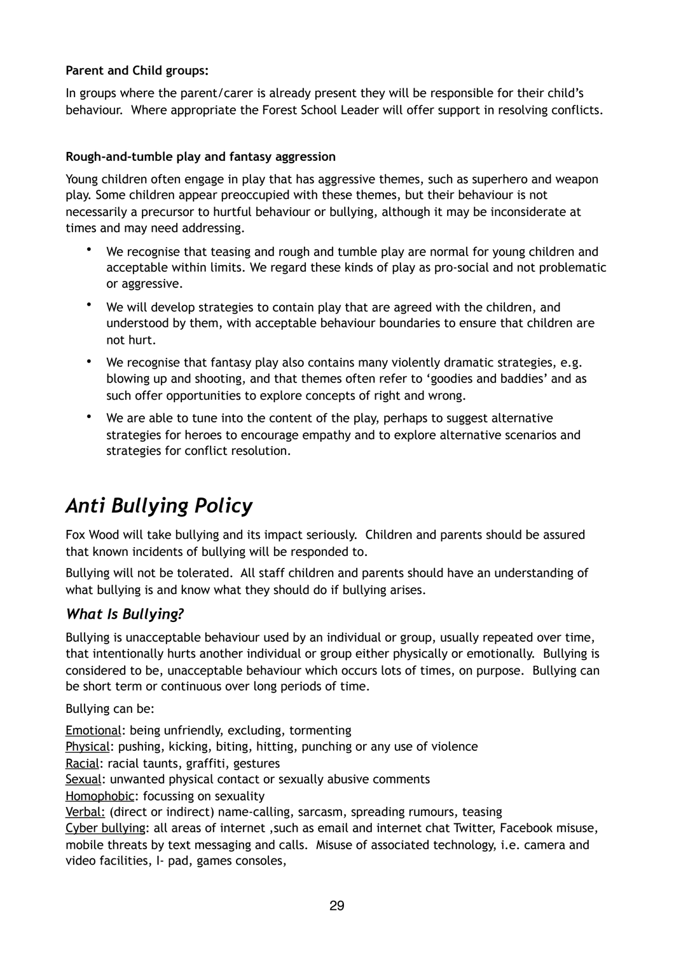#### **Parent and Child groups:**

In groups where the parent/carer is already present they will be responsible for their child's behaviour. Where appropriate the Forest School Leader will offer support in resolving conflicts.

#### **Rough-and-tumble play and fantasy aggression**

Young children often engage in play that has aggressive themes, such as superhero and weapon play. Some children appear preoccupied with these themes, but their behaviour is not necessarily a precursor to hurtful behaviour or bullying, although it may be inconsiderate at times and may need addressing.

- We recognise that teasing and rough and tumble play are normal for young children and acceptable within limits. We regard these kinds of play as pro-social and not problematic or aggressive.
- We will develop strategies to contain play that are agreed with the children, and understood by them, with acceptable behaviour boundaries to ensure that children are not hurt.
- We recognise that fantasy play also contains many violently dramatic strategies, e.g. blowing up and shooting, and that themes often refer to 'goodies and baddies' and as such offer opportunities to explore concepts of right and wrong.
- We are able to tune into the content of the play, perhaps to suggest alternative strategies for heroes to encourage empathy and to explore alternative scenarios and strategies for conflict resolution.

## *Anti Bullying Policy*

Fox Wood will take bullying and its impact seriously. Children and parents should be assured that known incidents of bullying will be responded to.

Bullying will not be tolerated. All staff children and parents should have an understanding of what bullying is and know what they should do if bullying arises.

### *What Is Bullying?*

Bullying is unacceptable behaviour used by an individual or group, usually repeated over time, that intentionally hurts another individual or group either physically or emotionally. Bullying is considered to be, unacceptable behaviour which occurs lots of times, on purpose. Bullying can be short term or continuous over long periods of time.

Bullying can be:

Emotional: being unfriendly, excluding, tormenting Physical: pushing, kicking, biting, hitting, punching or any use of violence Racial: racial taunts, graffiti, gestures Sexual: unwanted physical contact or sexually abusive comments Homophobic: focussing on sexuality Verbal: (direct or indirect) name-calling, sarcasm, spreading rumours, teasing Cyber bullying: all areas of internet ,such as email and internet chat Twitter, Facebook misuse, mobile threats by text messaging and calls. Misuse of associated technology, i.e. camera and video facilities, I- pad, games consoles,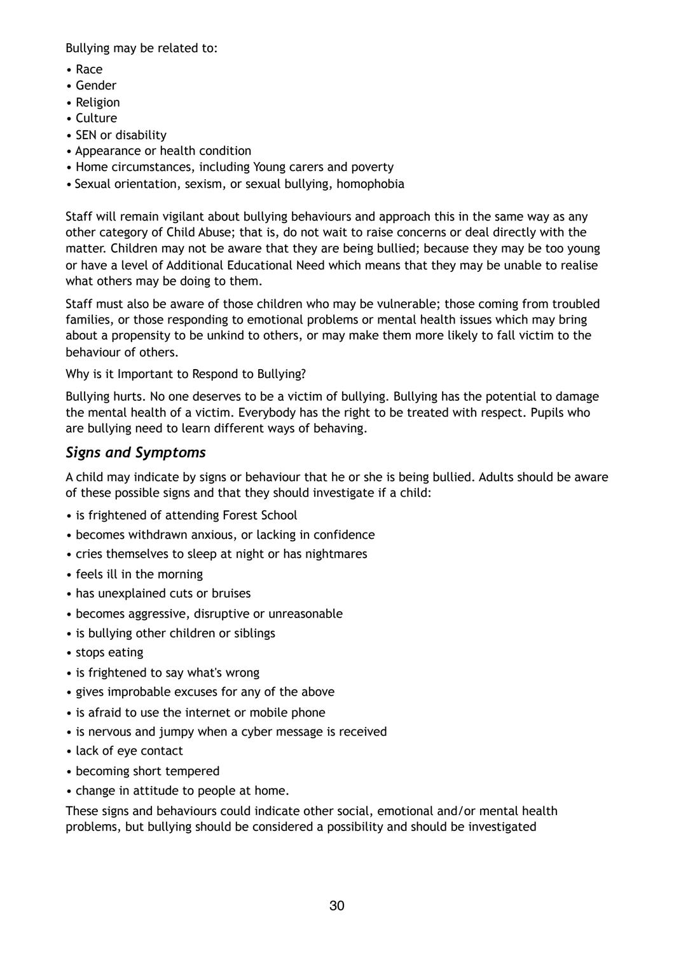Bullying may be related to:

- Race
- Gender
- Religion
- Culture
- SEN or disability
- Appearance or health condition
- Home circumstances, including Young carers and poverty
- Sexual orientation, sexism, or sexual bullying, homophobia

Staff will remain vigilant about bullying behaviours and approach this in the same way as any other category of Child Abuse; that is, do not wait to raise concerns or deal directly with the matter. Children may not be aware that they are being bullied; because they may be too young or have a level of Additional Educational Need which means that they may be unable to realise what others may be doing to them.

Staff must also be aware of those children who may be vulnerable; those coming from troubled families, or those responding to emotional problems or mental health issues which may bring about a propensity to be unkind to others, or may make them more likely to fall victim to the behaviour of others.

Why is it Important to Respond to Bullying?

Bullying hurts. No one deserves to be a victim of bullying. Bullying has the potential to damage the mental health of a victim. Everybody has the right to be treated with respect. Pupils who are bullying need to learn different ways of behaving.

#### *Signs and Symptoms*

A child may indicate by signs or behaviour that he or she is being bullied. Adults should be aware of these possible signs and that they should investigate if a child:

- is frightened of attending Forest School
- becomes withdrawn anxious, or lacking in confidence
- cries themselves to sleep at night or has nightmares
- feels ill in the morning
- has unexplained cuts or bruises
- becomes aggressive, disruptive or unreasonable
- is bullying other children or siblings
- stops eating
- is frightened to say what's wrong
- gives improbable excuses for any of the above
- is afraid to use the internet or mobile phone
- is nervous and jumpy when a cyber message is received
- lack of eye contact
- becoming short tempered
- change in attitude to people at home.

These signs and behaviours could indicate other social, emotional and/or mental health problems, but bullying should be considered a possibility and should be investigated